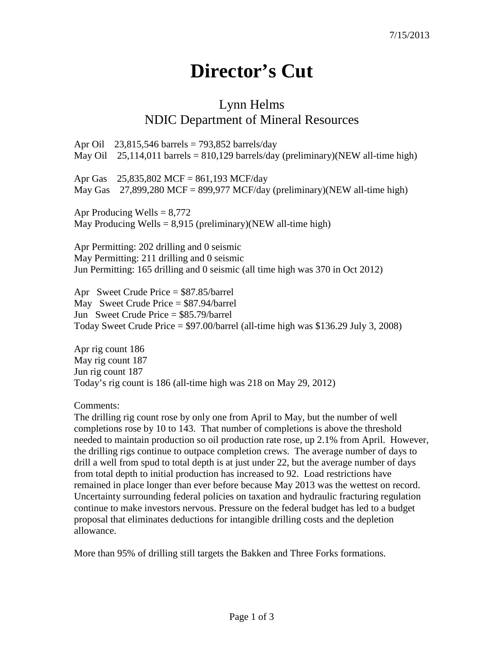## **Director's Cut**

## Lynn Helms NDIC Department of Mineral Resources

Apr Oil 23,815,546 barrels = 793,852 barrels/day May Oil 25,114,011 barrels =  $810,129$  barrels/day (preliminary)(NEW all-time high) Apr Gas 25,835,802 MCF = 861,193 MCF/day May Gas  $27,899,280$  MCF = 899,977 MCF/day (preliminary)(NEW all-time high) Apr Producing Wells  $= 8,772$ 

May Producing Wells =  $8,915$  (preliminary)(NEW all-time high)

Apr Permitting: 202 drilling and 0 seismic May Permitting: 211 drilling and 0 seismic Jun Permitting: 165 drilling and 0 seismic (all time high was 370 in Oct 2012)

Apr Sweet Crude Price = \$87.85/barrel May Sweet Crude Price = \$87.94/barrel Jun Sweet Crude Price = \$85.79/barrel Today Sweet Crude Price = \$97.00/barrel (all-time high was \$136.29 July 3, 2008)

Apr rig count 186 May rig count 187 Jun rig count 187 Today's rig count is 186 (all-time high was 218 on May 29, 2012)

Comments:

The drilling rig count rose by only one from April to May, but the number of well completions rose by 10 to 143. That number of completions is above the threshold needed to maintain production so oil production rate rose, up 2.1% from April. However, the drilling rigs continue to outpace completion crews. The average number of days to drill a well from spud to total depth is at just under 22, but the average number of days from total depth to initial production has increased to 92. Load restrictions have remained in place longer than ever before because May 2013 was the wettest on record. Uncertainty surrounding federal policies on taxation and hydraulic fracturing regulation continue to make investors nervous. Pressure on the federal budget has led to a budget proposal that eliminates deductions for intangible drilling costs and the depletion allowance.

More than 95% of drilling still targets the Bakken and Three Forks formations.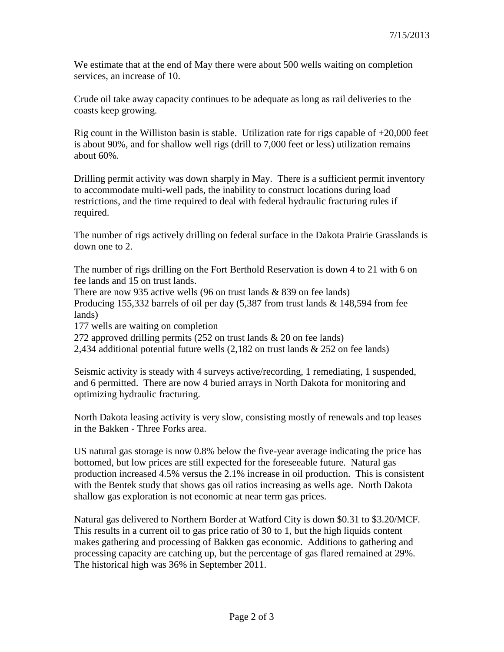We estimate that at the end of May there were about 500 wells waiting on completion services, an increase of 10.

Crude oil take away capacity continues to be adequate as long as rail deliveries to the coasts keep growing.

Rig count in the Williston basin is stable. Utilization rate for rigs capable of  $+20,000$  feet is about 90%, and for shallow well rigs (drill to 7,000 feet or less) utilization remains about 60%.

Drilling permit activity was down sharply in May. There is a sufficient permit inventory to accommodate multi-well pads, the inability to construct locations during load restrictions, and the time required to deal with federal hydraulic fracturing rules if required.

The number of rigs actively drilling on federal surface in the Dakota Prairie Grasslands is down one to 2.

The number of rigs drilling on the Fort Berthold Reservation is down 4 to 21 with 6 on fee lands and 15 on trust lands.

There are now 935 active wells (96 on trust lands  $& 839$  on fee lands)

Producing 155,332 barrels of oil per day (5,387 from trust lands & 148,594 from fee lands)

177 wells are waiting on completion

272 approved drilling permits (252 on trust lands & 20 on fee lands)

2,434 additional potential future wells (2,182 on trust lands & 252 on fee lands)

Seismic activity is steady with 4 surveys active/recording, 1 remediating, 1 suspended, and 6 permitted. There are now 4 buried arrays in North Dakota for monitoring and optimizing hydraulic fracturing.

North Dakota leasing activity is very slow, consisting mostly of renewals and top leases in the Bakken - Three Forks area.

US natural gas storage is now 0.8% below the five-year average indicating the price has bottomed, but low prices are still expected for the foreseeable future. Natural gas production increased 4.5% versus the 2.1% increase in oil production. This is consistent with the Bentek study that shows gas oil ratios increasing as wells age. North Dakota shallow gas exploration is not economic at near term gas prices.

Natural gas delivered to Northern Border at Watford City is down \$0.31 to \$3.20/MCF. This results in a current oil to gas price ratio of 30 to 1, but the high liquids content makes gathering and processing of Bakken gas economic. Additions to gathering and processing capacity are catching up, but the percentage of gas flared remained at 29%. The historical high was 36% in September 2011.